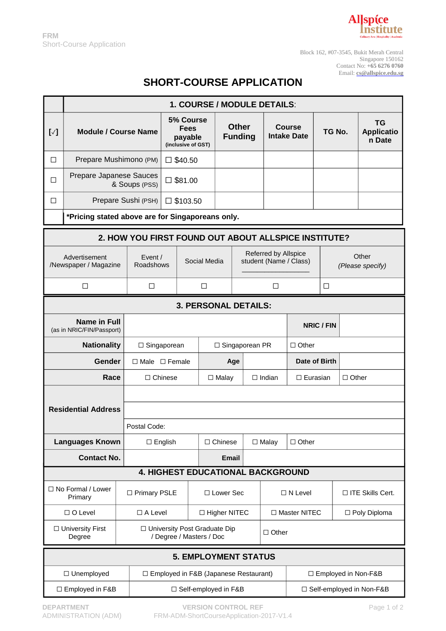

Block 162, #07-3545, Bukit Merah Central Singapore 150162 Contact No: **+65 6276 0760** Email: **[cs@allspice.edu.sg](mailto:cs@allspice.edu.sg)**

## **SHORT-COURSE APPLICATION**

|                                                      | 1. COURSE / MODULE DETAILS:                      |                        |                                                            |                   |                                |                                                       |                                     |                       |                   |                            |                                          |  |  |
|------------------------------------------------------|--------------------------------------------------|------------------------|------------------------------------------------------------|-------------------|--------------------------------|-------------------------------------------------------|-------------------------------------|-----------------------|-------------------|----------------------------|------------------------------------------|--|--|
| $[\sqrt{}]$                                          | <b>Module / Course Name</b>                      |                        | 5% Course<br><b>Fees</b><br>payable<br>(inclusive of GST)  |                   | <b>Other</b><br><b>Funding</b> |                                                       | <b>Course</b><br><b>Intake Date</b> |                       | TG No.            |                            | <b>TG</b><br><b>Applicatio</b><br>n Date |  |  |
| □                                                    |                                                  | Prepare Mushimono (PM) |                                                            | $\square$ \$40.50 |                                |                                                       |                                     |                       |                   |                            |                                          |  |  |
| □                                                    | Prepare Japanese Sauces<br>& Soups (PSS)         |                        | $\square$ \$81.00                                          |                   |                                |                                                       |                                     |                       |                   |                            |                                          |  |  |
| □                                                    | Prepare Sushi (PSH)                              |                        | $\square$ \$103.50                                         |                   |                                |                                                       |                                     |                       |                   |                            |                                          |  |  |
| *Pricing stated above are for Singaporeans only.     |                                                  |                        |                                                            |                   |                                |                                                       |                                     |                       |                   |                            |                                          |  |  |
| 2. HOW YOU FIRST FOUND OUT ABOUT ALLSPICE INSTITUTE? |                                                  |                        |                                                            |                   |                                |                                                       |                                     |                       |                   |                            |                                          |  |  |
| Advertisement<br>/Newspaper / Magazine               |                                                  |                        | Event $/$<br>Social Media<br>Roadshows                     |                   |                                | <b>Referred by Allspice</b><br>student (Name / Class) |                                     |                       |                   | Other<br>(Please specify)  |                                          |  |  |
| □                                                    |                                                  | □                      |                                                            | □                 |                                |                                                       | ⊔                                   |                       | ⊔                 |                            |                                          |  |  |
| <b>3. PERSONAL DETAILS:</b>                          |                                                  |                        |                                                            |                   |                                |                                                       |                                     |                       |                   |                            |                                          |  |  |
|                                                      | <b>Name in Full</b><br>(as in NRIC/FIN/Passport) |                        |                                                            |                   |                                |                                                       |                                     |                       | <b>NRIC / FIN</b> |                            |                                          |  |  |
|                                                      | <b>Nationality</b>                               |                        | □ Singaporean                                              |                   |                                |                                                       | □ Singaporean PR                    |                       |                   | $\Box$ Other               |                                          |  |  |
|                                                      | Gender                                           |                        | $\Box$ Male $\Box$ Female                                  |                   |                                | Age                                                   |                                     | Date of Birth         |                   |                            |                                          |  |  |
|                                                      | Race                                             |                        | $\Box$ Chinese                                             |                   |                                | $\Box$ Indian<br>$\Box$ Malay                         |                                     | $\square$ Eurasian    |                   | $\Box$ Other               |                                          |  |  |
|                                                      |                                                  |                        |                                                            |                   |                                |                                                       |                                     |                       |                   |                            |                                          |  |  |
|                                                      | <b>Residential Address</b>                       |                        |                                                            |                   |                                |                                                       |                                     |                       |                   |                            |                                          |  |  |
|                                                      |                                                  |                        | Postal Code:                                               |                   |                                |                                                       |                                     |                       |                   |                            |                                          |  |  |
|                                                      | <b>Languages Known</b>                           |                        | $\Box$ English                                             |                   |                                | $\Box$ Chinese<br>$\Box$ Malay                        |                                     | $\Box$ Other          |                   |                            |                                          |  |  |
|                                                      | <b>Contact No.</b>                               |                        | <b>4. HIGHEST EDUCATIONAL BACKGROUND</b>                   |                   | <b>Email</b>                   |                                                       |                                     |                       |                   |                            |                                          |  |  |
|                                                      |                                                  |                        |                                                            |                   |                                |                                                       |                                     |                       |                   |                            |                                          |  |  |
|                                                      | □ No Formal / Lower<br>Primary                   |                        | □ Primary PSLE                                             |                   | □ Lower Sec                    |                                                       | $\Box$ N Level                      |                       |                   |                            | □ ITE Skills Cert.                       |  |  |
|                                                      | $\Box$ O Level                                   | $\Box$ A Level         |                                                            |                   | □ Higher NITEC                 |                                                       | □ Master NITEC                      |                       |                   | □ Poly Diploma             |                                          |  |  |
|                                                      | □ University First<br>Degree                     |                        | □ University Post Graduate Dip<br>/ Degree / Masters / Doc |                   |                                |                                                       |                                     | $\Box$ Other          |                   |                            |                                          |  |  |
| <b>5. EMPLOYMENT STATUS</b>                          |                                                  |                        |                                                            |                   |                                |                                                       |                                     |                       |                   |                            |                                          |  |  |
|                                                      | □ Unemployed                                     |                        | □ Employed in F&B (Japanese Restaurant)                    |                   |                                |                                                       |                                     | □ Employed in Non-F&B |                   |                            |                                          |  |  |
|                                                      | □ Employed in F&B                                |                        | □ Self-employed in F&B                                     |                   |                                |                                                       |                                     |                       |                   | □ Self-employed in Non-F&B |                                          |  |  |